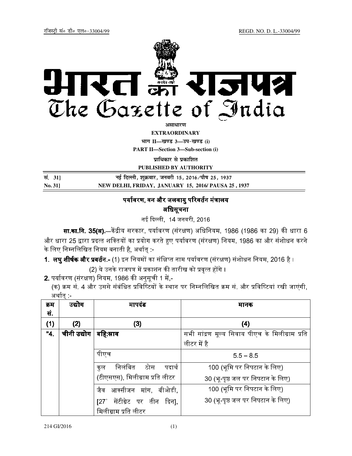

असाधारण

**EXTRAORDINARY**

**Hkkx II—[k.M 3—mi&[k.M (i) PART II—Section 3—Sub-section (i)** 

**प्राधिकार से प्रकाशित** 

**PUBLISHED BY AUTHORITY**

| सं. 31]        | नई दिल्ली, शुक्रवार, जनवरी 15, 2016 ∕पौष 25, 1937  |
|----------------|----------------------------------------------------|
| <b>No. 311</b> | NEW DELHI, FRIDAY, JANUARY 15, 2016/PAUSA 25, 1937 |

# पर्यावरण. वन और जलवाय परिवर्तन मंत्रालय

अधिसूचना

नई दिल्ली, 14 जनवरी, 2016

**सा.का.नि. 35(अ).**—केंद्रीय सरकार, पर्यावरण (संरक्षण) अधिनियम, 1986 (1986 का 29) की धारा 6 और धारा 25 द्वारा प्रदत्त शक्तियों का प्रयोग करते हुए पर्यावरण (संरक्षण) नियम, 1986 का और संशोधन करने के लिए निम्नलिखित नियम बनाती है, अर्थात् :-

1. लघुऔर .- (1) &!!' (! ' 
(
) संशोधन िनयम, 2016 है ।

(2) ये उनके राजपत्र में प्रकाशन की तारीख को प्रवत्त होंगे ।

**2.** पर्यावरण (संरक्षण) नियम, 1986 की अनसची 1 में -

(क) क्रम सं. 4 और उससे संबंधित प्रविष्टियों के स्थान पर निम्नलिखित क्रम सं. और प्रविष्टियां रखी जाएंगी. अर्थात -

| क्रम | उद्योग      | मापदंड                                 | मानक                                            |
|------|-------------|----------------------------------------|-------------------------------------------------|
| सं.  |             |                                        |                                                 |
| (1)  | (2)         | (3)                                    | (4)                                             |
| "4.  | चीनी उद्योग | बहि स्नाव                              | सभी सांद्रण मूल्य सिवाय पीएच के मिलीग्राम प्रति |
|      |             |                                        | लीटर में है                                     |
|      |             | पीएच                                   | $5.5 - 8.5$                                     |
|      |             | निलंबित ठोस<br>पदार्थ<br>कल            | 100 (भूमि पर निपटान के लिए)                     |
|      |             | (टीएसएस), मिलीग्राम प्रति लीटर         | 30 (भू-पृष्ठ जल पर निपटान के लिए)               |
|      |             | जैव आक्सीजन मांग, बीओडी,               | 100 (भूमि पर निपटान के लिए)                     |
|      |             | सेंटीग्रेट पर तीन दिन],<br>$127^\circ$ | 30 (भू-पृष्ठ जल पर निपटान के लिए)               |
|      |             | मिलीग्राम प्रति लीटर                   |                                                 |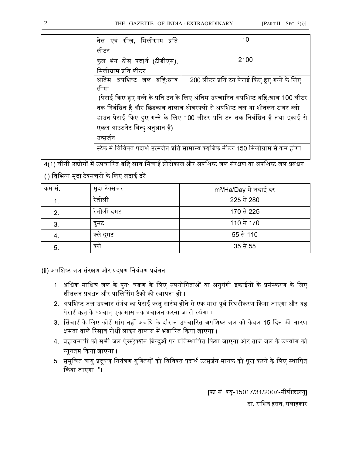## THE GAZETTE OF INDIA : EXTRAORDINARY [PART II—SEC. 3(i)]

|  | तेल एवं ग्रीज़, मिलीग्राम प्रति                                                                                                                               | 10                                                                                     |  |
|--|---------------------------------------------------------------------------------------------------------------------------------------------------------------|----------------------------------------------------------------------------------------|--|
|  | लीटर                                                                                                                                                          |                                                                                        |  |
|  | कुल भंग ठोस पदार्थ (टीडीएस),                                                                                                                                  | 2100                                                                                   |  |
|  | मिलीग्राम प्रति लीटर                                                                                                                                          |                                                                                        |  |
|  | अंतिम अपशिष्ट जल बहि:स्नाव                                                                                                                                    | 200 लीटर प्रति टन पेराई किए हुए गन्ने के लिए                                           |  |
|  | सीमा                                                                                                                                                          |                                                                                        |  |
|  | (पेराई किए हुए गन्ने के प्रति टन के लिए अंतिम उपचारित अपशिष्ट बहि:स्राव 100 लीटर<br>तक निर्बंधित है और छिड़काव तालाब ओवरफ्लो से अपशिष्ट जल या शीतलन टावर ब्लो |                                                                                        |  |
|  |                                                                                                                                                               |                                                                                        |  |
|  |                                                                                                                                                               | डाउन पेराई किए हुए गन्ने के लिए 100 लीटर प्रति टन तक निर्बंधित है तथा इकाई से          |  |
|  | एकल आउटलेट बिन्दु अनुज्ञात है)                                                                                                                                |                                                                                        |  |
|  | उत्सर्जन                                                                                                                                                      |                                                                                        |  |
|  |                                                                                                                                                               | स्टेक से विविक्त पदार्थ उत्सर्जन प्रति सामान्य क्यूबिक मीटर 150 मिलीग्राम से कम होगा । |  |
|  |                                                                                                                                                               |                                                                                        |  |

4(1) चीनी उद्योगों में उपचारित बहि:स्राव सिंचाई प्रोटोकाल और अपशिष्ट जल संरक्षण या अपशिष्ट जल प्रबंधन (i) विभिन्न मदा टेक्सचरों के लिए लदाई दरें

| क्रम सं | मृदा टेक्सचर | m <sup>3</sup> /Ha/Day में लदाई दर |
|---------|--------------|------------------------------------|
|         | रेतीली       | 225 से 280                         |
| 2.      | रेतीली दुमट  | 170 से 225                         |
| 3.      | दुमट         | 110 से 170                         |
| 4.      | क्ले दुमट    | 55 से 110                          |
| 5.      | क्ले         | 35 से 55                           |

(ii) अपशिष्ट जल संरक्षण और प्रदषण नियंत्रण प्रबंधन

- 1. अधिक साधित्र जल के पन: चक्रण के लिए उपयोगिताओं या अनषंगी इकाईयों के प्रसंस्करण के लिए शीतलन प्रबंधन और पालिसिंग टैंकों की स्थापना हो ।
- 2. अपशिष्ट जल उपचार संयंत्र का पेराई ऋत आरंभ होने से एक मास पर्व स्थिरीकरण किया जाएगा और यह पेराई ऋत के पश्चात एक मास तक प्रचालन करना जारी रखेगा ।
- 3. सिंचाई के लिए कोई मांग नहीं अवधि के दौरान उपचारित अपशिष्ट जल को केवल 15 दिन की धारण क्षमता वाले रिसाव रोधी लाइन तालाब में भंडारित किया जाएगा ।
- 4. बहावमापी को सभी जल ऐब्स्टैक्शन बिन्दओं पर प्रतिस्थापित किया जाएगा और ताजे जल के उपयोग को न्यूनतम किया जाएगा ।
- 5. समचित वाय प्रदषण नियंत्रण यक्तियों को विविक्त पदार्थ उत्सर्जन मानक को परा करने के लिए स्थापित किया जाएगा ।"।

[फा.सं. क्य-15017/31/2007-सीपीडब्ल्य]

डा. रािशद हसन, सलाहकार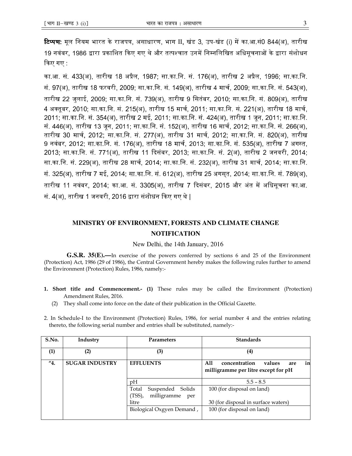**टिप्पण:** मूल नियम भारत के राजपत्र, असाधारण, भाग II, खंड 3, उप-खंड (i) में का.आ.सं0 844(अ), तारीख 19 नवंबर, 1986 द्वारा प्रकाशित किए गए थे और तत्पश्चात उनमें निम्नलिखित अधिसचनाओं के द्वारा संशोधन किए गए $\,$  :

का.आ. सं. 433(अ), तारीख 18 अप्रैल, 1987; सा.का.नि. सं. 176(अ), तारीख 2 अप्रैल, 1996; सा.का.नि. सं. 97(अ), तारीख 18 फरवरी, 2009; सा.का.नि. सं. 149(अ), तारीख 4 मार्च, 2009; सा.का.नि. सं. 543(अ), तारीख 22 जुलाई, 2009; सा.का.िन. सं. 739(अ), तारीख 9 िसतंबर, 2010; सा.का.िन. सं. 809(अ), तारीख 4 अक्तुबर, 2010; सा.का.नि. सं. 215(अ), तारीख 15 मार्च, 2011; सा.का.नि. सं. 221(अ), तारीख 18 मार्च, 2011; सा.का.िन. सं. 354(अ), तारीख 2 मई, 2011; सा.का.िन. सं. 424(अ), तारीख 1 जून, 2011; सा.का.िन. सं. 446(अ), तारीख 13 जून, 2011; सा.का.नि. सं. 152(अ), तारीख 16 मार्च, 2012; सा.का.नि. सं. 266(अ), तारीख 30 मार्च, 2012; सा.का.नि. सं. 277(अ), तारीख 31 मार्च, 2012; सा.का.नि. सं. 820(अ), तारीख 9 नवंबर, 2012; सा.का.नि. सं. 176(अ), तारीख 18 मार्च, 2013; सा.का.नि. सं. 535(अ), तारीख 7 अगस्त, 2013; सा.का.िन. सं. 771(अ), तारीख 11 @5, 2013; सा.का.िन. सं. 2(अ), तारीख 2 जनवरी, 2014; सा.का.नि. सं. 229(अ), तारीख 28 मार्च, 2014; सा.का.नि. सं. 232(अ), तारीख 31 मार्च, 2014; सा.का.नि. सं. 325(अ), तारीख 7 मई, 2014; सा.का.िन. सं. 612(अ), तारीख 25 अगस् त, 2014; सा.का.िन. सं. 789(अ), तारीख 11 नवंबर, 2014: का.आ. सं. 3305(अ), तारीख 7 दिसंबर, 2015 और अंत में अधिसचना का.आ. सं. 4(अ), तारीख 1 जनवरी, 2016 द्वारा संशोधन किए गए थे |

# **MINISTRY OF ENVIRONMENT, FORESTS AND CLIMATE CHANGE NOTIFICATION**

#### New Delhi, the 14th January, 2016

 **G.S.R. 35(E).—**In exercise of the powers conferred by sections 6 and 25 of the Environment (Protection) Act, 1986 (29 of 1986), the Central Government hereby makes the following rules further to amend the Environment (Protection) Rules, 1986, namely:-

- 1. Short title and Commencement.- (1) These rules may be called the Environment (Protection) Amendment Rules, 2016.
	- (2) They shall come into force on the date of their publication in the Official Gazette.
- 2. In Schedule-I to the Environment (Protection) Rules, 1986, for serial number 4 and the entries relating thereto, the following serial number and entries shall be substituted, namely:-

| S.No. | Industry              | <b>Parameters</b>                                            | <b>Standards</b>                                                                   |
|-------|-----------------------|--------------------------------------------------------------|------------------------------------------------------------------------------------|
| (1)   | $\left( 2\right)$     | (3)                                                          | $\left(4\right)$                                                                   |
| "4.   | <b>SUGAR INDUSTRY</b> | <b>EFFLUENTS</b>                                             | in<br>All<br>concentration<br>values<br>are<br>milligramme per litre except for pH |
|       |                       | pH                                                           | $5.5 - 8.5$                                                                        |
|       |                       | Total<br>Suspended<br>Solids<br>milligramme<br>(TSS),<br>per | 100 (for disposal on land)                                                         |
|       |                       | litre                                                        | 30 (for disposal in surface waters)                                                |
|       |                       | Biological Oxgyen Demand,                                    | 100 (for disposal on land)                                                         |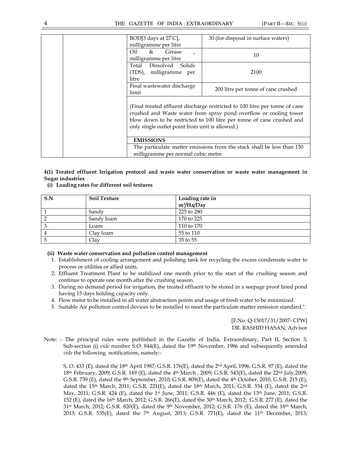| BOD[3 days at 27°C],<br>milligramme per litre                                                                                                                                                                                                                                | 30 (for disposal in surface waters)                                    |
|------------------------------------------------------------------------------------------------------------------------------------------------------------------------------------------------------------------------------------------------------------------------------|------------------------------------------------------------------------|
| Oil<br>$\&$<br>Grease<br>$\mathbf{r}$<br>milligramme per litre                                                                                                                                                                                                               | 10                                                                     |
| Total<br>Dissolved<br>Solids<br>(TDS), milligramme<br>per<br>litre                                                                                                                                                                                                           | 2100                                                                   |
| Final wastewater discharge<br>limit                                                                                                                                                                                                                                          | 200 litre per tonne of cane crushed                                    |
| (Final treated effluent discharge restricted to 100 litre per tonne of cane<br>crushed and Waste water from spray pond overflow or cooling tower<br>blow down to be restricted to 100 litre per tonne of cane crushed and<br>only single outlet point from unit is allowed.) |                                                                        |
| <b>EMISSIONS</b>                                                                                                                                                                                                                                                             |                                                                        |
|                                                                                                                                                                                                                                                                              | The particulate matter emissions from the stack shall be less than 150 |
| milligramme per normal cubic metre                                                                                                                                                                                                                                           |                                                                        |

## 4(1) Treated effluent Irrigation protocol and waste water conservation or waste water management in Sugar industries

#### (i) Loading rates for different soil textures

| S.N | <b>Soil Texture</b> | Loading rate in        |
|-----|---------------------|------------------------|
|     |                     | m <sup>3</sup> /Ha/Day |
|     | Sandy               | 225 to 280             |
|     | Sandy loam          | 170 to 225             |
|     | Loam                | 110 to 170             |
| 4   | Clay loam           | 55 to 110              |
|     | Clav                | 35 to 55               |

#### (ii) Waste water conservation and pollution control management

- 1. Establishment of cooling arrangement and polishing tank for recycling the excess condensate water to process or utilities or allied units.
- 2. Effluent Treatment Plant to be stabilized one month prior to the start of the crushing season and continue to operate one month after the crushing season.
- 3. During no demand period for irrigation, the treated effluent to be stored in a seepage proof lined pond having 15 days holding capacity only.
- 4. Flow meter to be installed in all water abstraction points and usage of fresh water to be minimized.
- 5. Suitable Air pollution control devices to be installed to meet the particulate matter emission standard.".

[F.No. Q-15017/31/2007- CPW] DR. RASHID HASAN, Advisor

Note: - The principal rules were published in the Gazette of India, Extraordinary, Part II, Section 3, Sub-section (i) vide number S.O.  $844(E)$ , dated the  $19<sup>th</sup>$  November, 1986 and subsequently amended vide the following notifications, namely:-

S. O. 433 (E), dated the 18th April 1987; G.S.R. 176(E), dated the 2nd April, 1996; G.S.R. 97 (E), dated the 18th February, 2009; G.S.R. 149 (E), dated the 4th March , 2009; G.S.R. 543(E), dated the 22nd July,2009; G.S.R. 739 (E), dated the 9<sup>th</sup> September, 2010; G.S.R. 809(E), dated the 4<sup>th</sup> October, 2010, G.S.R. 215 (E), dated the 15<sup>th</sup> March, 2011; G.S.R. 221(E), dated the 18<sup>th</sup> March, 2011; G.S.R. 354 (E), dated the 2<sup>nd</sup> May, 2011; G.S.R. 424 (E), dated the 1<sup>st</sup> June, 2011; G.S.R. 446 (E), dated the 13<sup>th</sup> June, 2011; G.S.R. 152 (E), dated the 16th March, 2012; G.S.R. 266(E), dated the 30th March, 2012; G.S.R. 277 (E), dated the  $31$ <sup>st</sup> March, 2012; G.S.R. 820(E), dated the 9<sup>th</sup> November, 2012; G.S.R. 176 (E), dated the 18<sup>th</sup> March, 2013; G.S.R. 535(E), dated the 7<sup>th</sup> August, 2013; G.S.R. 771(E), dated the 11<sup>th</sup> December, 2013;